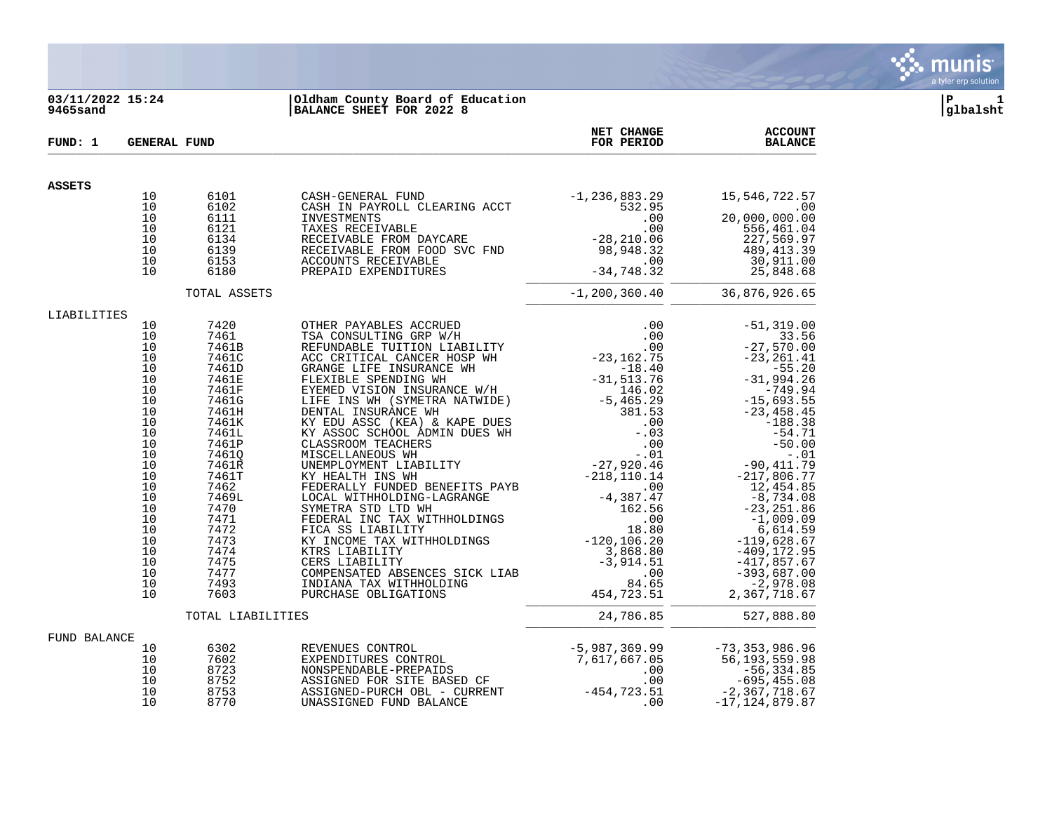

### **03/11/2022 15:24 |Oldham County Board of Education |P 1 9465sand |BALANCE SHEET FOR 2022 8 |glbalsht**

| FUND: 1       |                                                                                                                                                          | <b>GENERAL FUND</b>                          |                                                                                                                                                                                                                                             | <b>NET CHANGE</b><br>FOR PERIOD | <b>ACCOUNT</b><br><b>BALANCE</b> |
|---------------|----------------------------------------------------------------------------------------------------------------------------------------------------------|----------------------------------------------|---------------------------------------------------------------------------------------------------------------------------------------------------------------------------------------------------------------------------------------------|---------------------------------|----------------------------------|
| <b>ASSETS</b> |                                                                                                                                                          |                                              |                                                                                                                                                                                                                                             |                                 |                                  |
|               | 10<br>10<br>10                                                                                                                                           | 6101<br>6102<br>6111                         | CASH-GENERAL FUND<br>CASH IN PAYROLL CLEARING ACCT<br>CASH-GENERAL FUND                                                                                                                                                                     |                                 | 15,546,722.57<br>.00             |
|               | 10<br>10<br>10<br>10                                                                                                                                     | 6121<br>6134<br>6139<br>6153                 |                                                                                                                                                                                                                                             |                                 |                                  |
|               | 10                                                                                                                                                       | 6180                                         |                                                                                                                                                                                                                                             |                                 |                                  |
|               |                                                                                                                                                          | TOTAL ASSETS                                 |                                                                                                                                                                                                                                             |                                 | $-1, 200, 360.40$ 36,876,926.65  |
| LIABILITIES   | 10<br>10<br>10<br>10<br>10<br>10<br>10<br>10<br>10<br>10<br>10<br>10<br>10<br>10<br>10<br>10<br>10<br>10<br>10<br>10<br>10<br>10<br>10<br>10<br>10<br>10 |                                              |                                                                                                                                                                                                                                             |                                 |                                  |
|               |                                                                                                                                                          |                                              |                                                                                                                                                                                                                                             |                                 |                                  |
|               |                                                                                                                                                          | TOTAL LIABILITIES                            |                                                                                                                                                                                                                                             | 24,786.85                       | 527,888.80                       |
| FUND BALANCE  | 10<br>10<br>10<br>10<br>10<br>10                                                                                                                         | 6302<br>7602<br>8723<br>8752<br>8753<br>8770 | REVENUES CONTROL<br>EXPENDITURES CONTROL 50 (1995)<br>NONSPENDABLE-PREPAIDS (1996)<br>ASSIGNED FOR SITE BASED CF (1996)<br>ASSIGNED-PURCH OBL - CURRENT (1996)<br>ASSIGNED-PURCH OBL - CURRENT (1996)<br>CO (1995, 455.08<br>ASSIGNED-PURCH |                                 |                                  |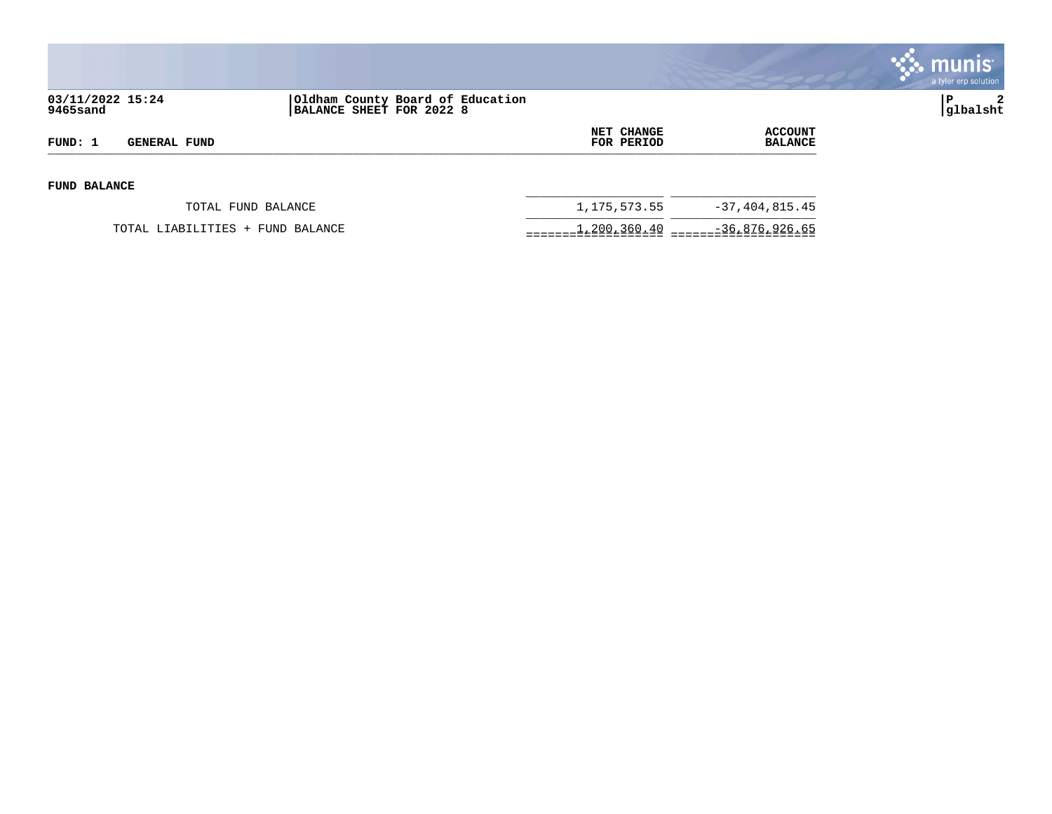

|                                |                                                              |                          |                                  | <b>munis</b><br>a tyler erp solution |
|--------------------------------|--------------------------------------------------------------|--------------------------|----------------------------------|--------------------------------------|
| 03/11/2022 15:24<br>9465sand   | Oldham County Board of Education<br>BALANCE SHEET FOR 2022 8 |                          |                                  | $\mathbf{2}$<br>P<br> glbalsht       |
| FUND: 1<br><b>GENERAL FUND</b> |                                                              | NET CHANGE<br>FOR PERIOD | <b>ACCOUNT</b><br><b>BALANCE</b> |                                      |
| <b>FUND BALANCE</b>            |                                                              |                          |                                  |                                      |
|                                | TOTAL FUND BALANCE                                           | 1,175,573.55             | $-37, 404, 815.45$               |                                      |
|                                | TOTAL LIABILITIES +<br>FUND BALANCE                          | 1,200,360.40             | $-36,876,926.65$                 |                                      |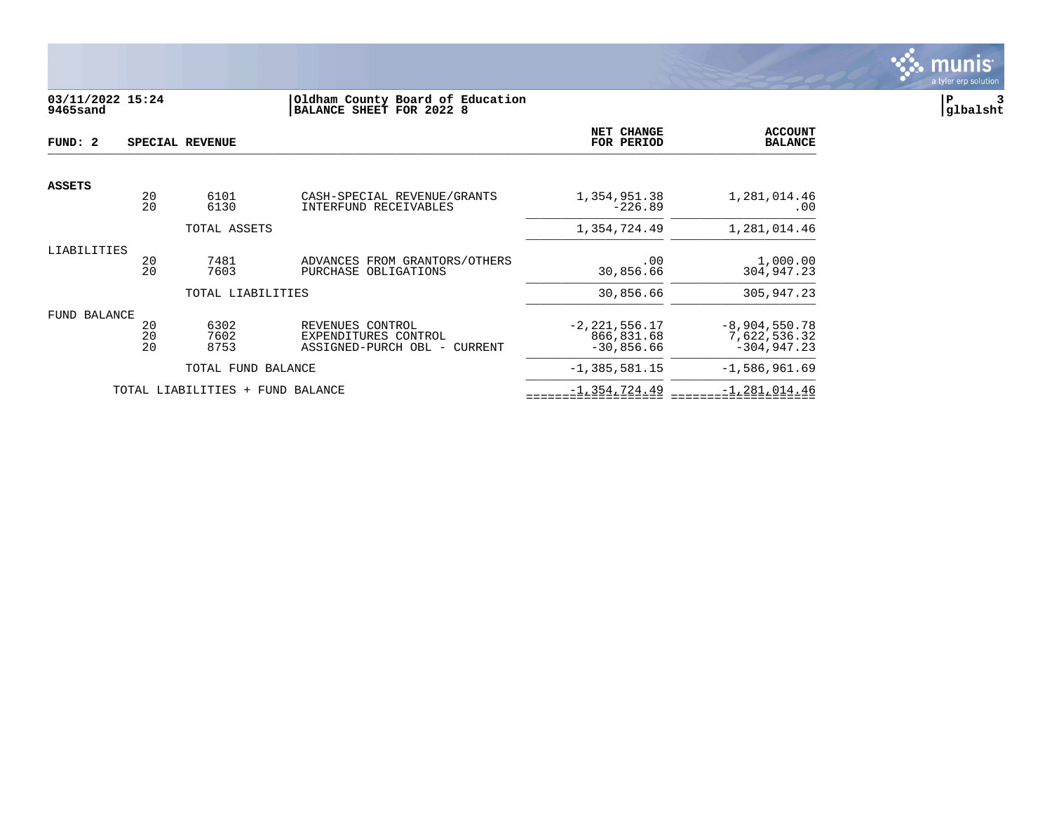

# **03/11/2022 15:24 |Oldham County Board of Education |P 3 9465sand |BALANCE SHEET FOR 2022 8 |glbalsht**

| FUND: 2       |          | SPECIAL REVENUE     |                                                                                   | NET CHANGE<br>FOR PERIOD   | <b>ACCOUNT</b><br><b>BALANCE</b> |
|---------------|----------|---------------------|-----------------------------------------------------------------------------------|----------------------------|----------------------------------|
| <b>ASSETS</b> |          |                     |                                                                                   |                            |                                  |
|               | 20<br>20 | 6101<br>6130        | CASH-SPECIAL REVENUE/GRANTS<br>INTERFUND RECEIVABLES                              | 1,354,951.38<br>$-226.89$  | 1,281,014.46<br>.00              |
|               |          | TOTAL ASSETS        |                                                                                   | 1,354,724.49               | 1,281,014.46                     |
| LIABILITIES   |          |                     |                                                                                   |                            |                                  |
|               | 20<br>20 | 7481<br>7603        | ADVANCES FROM GRANTORS/OTHERS<br>PURCHASE OBLIGATIONS                             | .00<br>30,856.66           | 1,000.00<br>304,947.23           |
|               |          | TOTAL LIABILITIES   |                                                                                   | 30,856.66                  | 305,947.23                       |
| FUND BALANCE  |          |                     |                                                                                   |                            |                                  |
|               | 20       | 6302                | REVENUES CONTROL                                                                  | $-2, 221, 556.17$          | $-8,904,550.78$                  |
|               | 20<br>20 | 7602<br>8753        | EXPENDITURES CONTROL<br>ASSIGNED-PURCH OBL<br>CURRENT<br>$\overline{\phantom{m}}$ | 866,831.68<br>$-30,856.66$ | 7,622,536.32<br>$-304, 947.23$   |
|               |          | TOTAL FUND BALANCE  |                                                                                   | $-1, 385, 581.15$          | $-1,586,961.69$                  |
|               |          | TOTAL LIABILITIES + | FUND BALANCE                                                                      | $-1, 354, 724.49$          | $-1, 281, 014.46$                |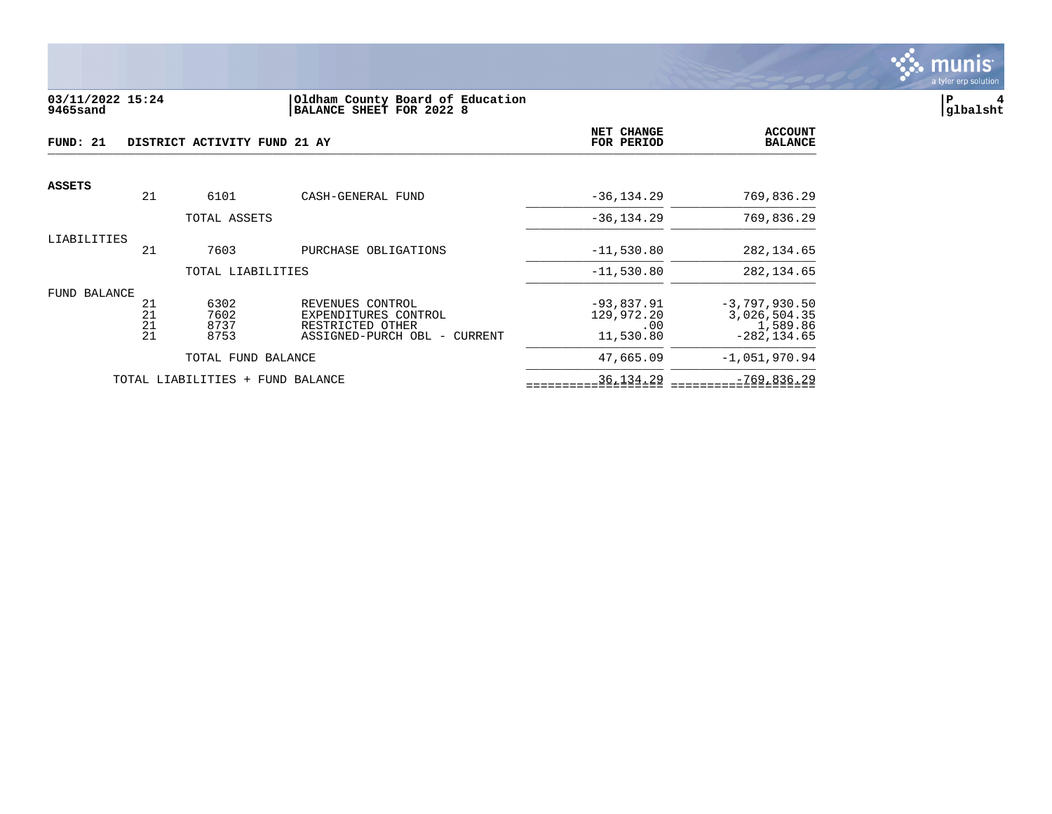

#### **03/11/2022 15:24 |Oldham County Board of Education |P 4 9465sand |BALANCE SHEET FOR 2022 8 |glbalsht**

| FUND: 21            |                      | DISTRICT ACTIVITY FUND 21 AY     |                                                                                              | NET CHANGE<br>FOR PERIOD                       | <b>ACCOUNT</b><br><b>BALANCE</b>                              |
|---------------------|----------------------|----------------------------------|----------------------------------------------------------------------------------------------|------------------------------------------------|---------------------------------------------------------------|
| <b>ASSETS</b>       | 21                   | 6101                             | CASH-GENERAL FUND                                                                            | $-36, 134.29$                                  | 769,836.29                                                    |
|                     |                      | TOTAL ASSETS                     |                                                                                              | $-36, 134.29$                                  | 769,836.29                                                    |
| LIABILITIES         | 21                   | 7603                             | PURCHASE OBLIGATIONS                                                                         | $-11,530.80$                                   | 282, 134.65                                                   |
|                     |                      | TOTAL LIABILITIES                |                                                                                              | $-11,530.80$                                   | 282, 134.65                                                   |
| <b>FUND BALANCE</b> | 21<br>21<br>21<br>21 | 6302<br>7602<br>8737<br>8753     | REVENUES CONTROL<br>EXPENDITURES CONTROL<br>RESTRICTED OTHER<br>ASSIGNED-PURCH OBL - CURRENT | $-93,837.91$<br>129,972.20<br>.00<br>11,530.80 | $-3,797,930.50$<br>3,026,504.35<br>1,589.86<br>$-282, 134.65$ |
|                     |                      | TOTAL FUND BALANCE               |                                                                                              | 47,665.09                                      | $-1,051,970.94$                                               |
|                     |                      | TOTAL LIABILITIES + FUND BALANCE |                                                                                              | 36, 134. 29                                    | $-769,836.29$                                                 |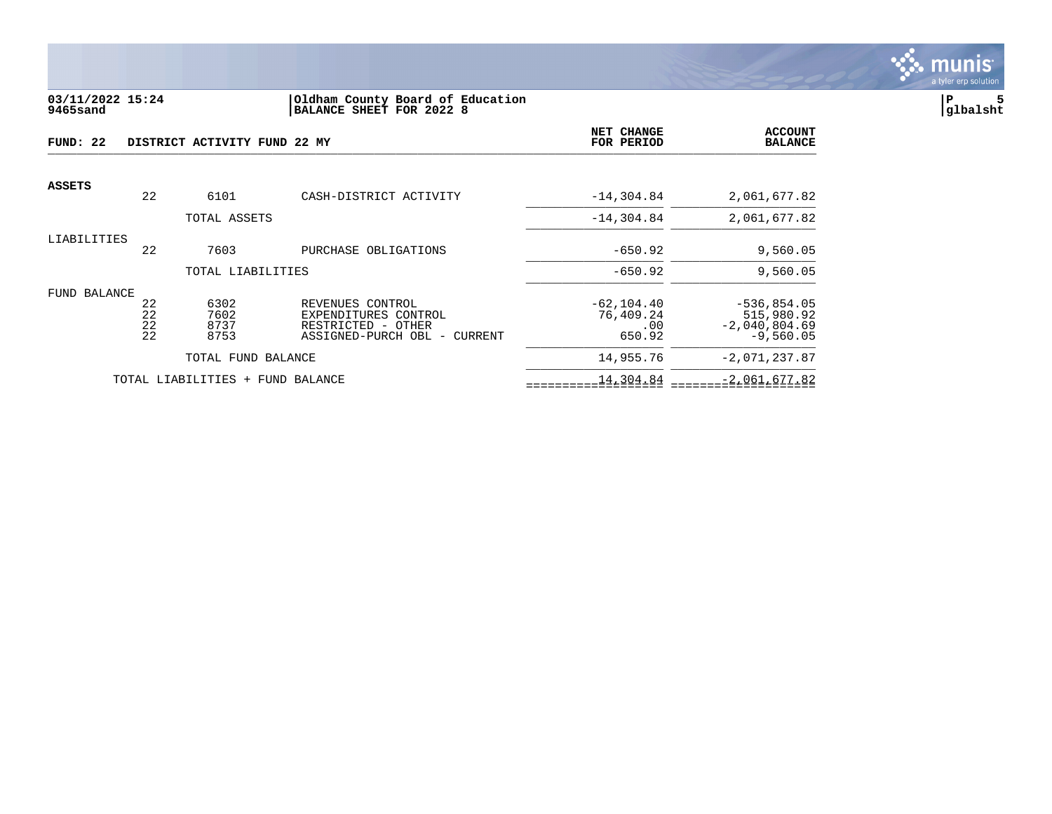

#### **03/11/2022 15:24 |Oldham County Board of Education |P 5 9465sand |BALANCE SHEET FOR 2022 8 |glbalsht**

| FUND: 22            |                      | DISTRICT ACTIVITY FUND 22 MY |                                                                                                | NET CHANGE<br>FOR PERIOD                    | <b>ACCOUNT</b><br><b>BALANCE</b>                              |
|---------------------|----------------------|------------------------------|------------------------------------------------------------------------------------------------|---------------------------------------------|---------------------------------------------------------------|
| <b>ASSETS</b>       | 22                   | 6101                         | CASH-DISTRICT ACTIVITY                                                                         | $-14, 304.84$                               | 2,061,677.82                                                  |
|                     |                      | TOTAL ASSETS                 |                                                                                                | $-14, 304.84$                               | 2,061,677.82                                                  |
| LIABILITIES         | 22                   | 7603                         | PURCHASE OBLIGATIONS                                                                           | $-650.92$                                   | 9,560.05                                                      |
|                     |                      | TOTAL LIABILITIES            |                                                                                                | $-650.92$                                   | 9,560.05                                                      |
| <b>FUND BALANCE</b> | 22<br>22<br>22<br>22 | 6302<br>7602<br>8737<br>8753 | REVENUES CONTROL<br>EXPENDITURES CONTROL<br>RESTRICTED - OTHER<br>ASSIGNED-PURCH OBL - CURRENT | $-62, 104.40$<br>76,409.24<br>.00<br>650.92 | $-536,854.05$<br>515,980.92<br>$-2,040,804.69$<br>$-9,560.05$ |
|                     |                      | TOTAL FUND BALANCE           |                                                                                                | 14,955.76                                   | $-2,071,237.87$                                               |
|                     |                      | TOTAL LIABILITIES            | + FUND BALANCE                                                                                 | 14,304.84                                   | $-2,061,677.82$                                               |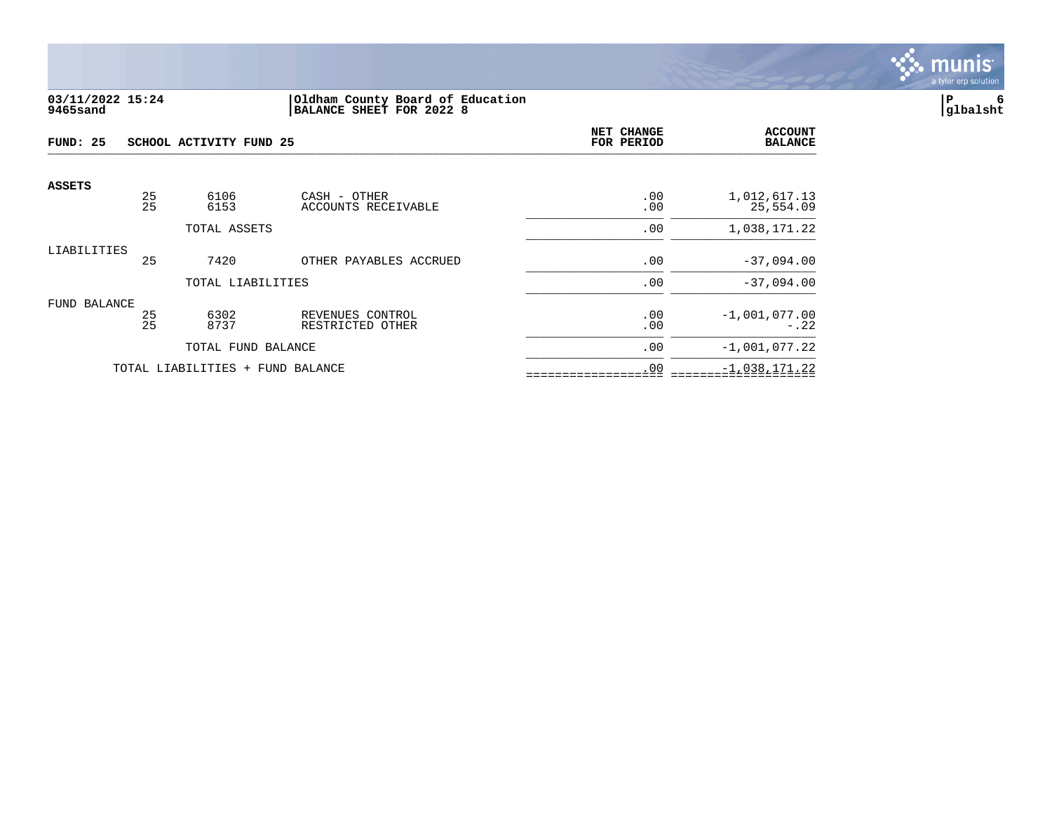

#### **03/11/2022 15:24 |Oldham County Board of Education |P 6 9465sand |BALANCE SHEET FOR 2022 8 |glbalsht**

| FUND: 25                         |          | SCHOOL ACTIVITY FUND 25 | NET CHANGE<br>FOR PERIOD             | <b>ACCOUNT</b><br><b>BALANCE</b> |                           |
|----------------------------------|----------|-------------------------|--------------------------------------|----------------------------------|---------------------------|
| <b>ASSETS</b>                    |          |                         |                                      |                                  |                           |
|                                  | 25<br>25 | 6106<br>6153            | CASH - OTHER<br>ACCOUNTS RECEIVABLE  | .00<br>.00                       | 1,012,617.13<br>25,554.09 |
|                                  |          | TOTAL ASSETS            |                                      | .00                              | 1,038,171.22              |
| LIABILITIES                      | 25       | 7420                    | OTHER PAYABLES ACCRUED               | .00                              | $-37,094.00$              |
|                                  |          | TOTAL LIABILITIES       |                                      | .00                              | $-37,094.00$              |
| FUND BALANCE                     | 25<br>25 | 6302<br>8737            | REVENUES CONTROL<br>RESTRICTED OTHER | .00<br>.00                       | $-1,001,077.00$<br>$-.22$ |
|                                  |          | TOTAL FUND BALANCE      |                                      | .00                              | $-1,001,077.22$           |
| TOTAL LIABILITIES + FUND BALANCE |          |                         | .00                                  | $-1,038,171.22$                  |                           |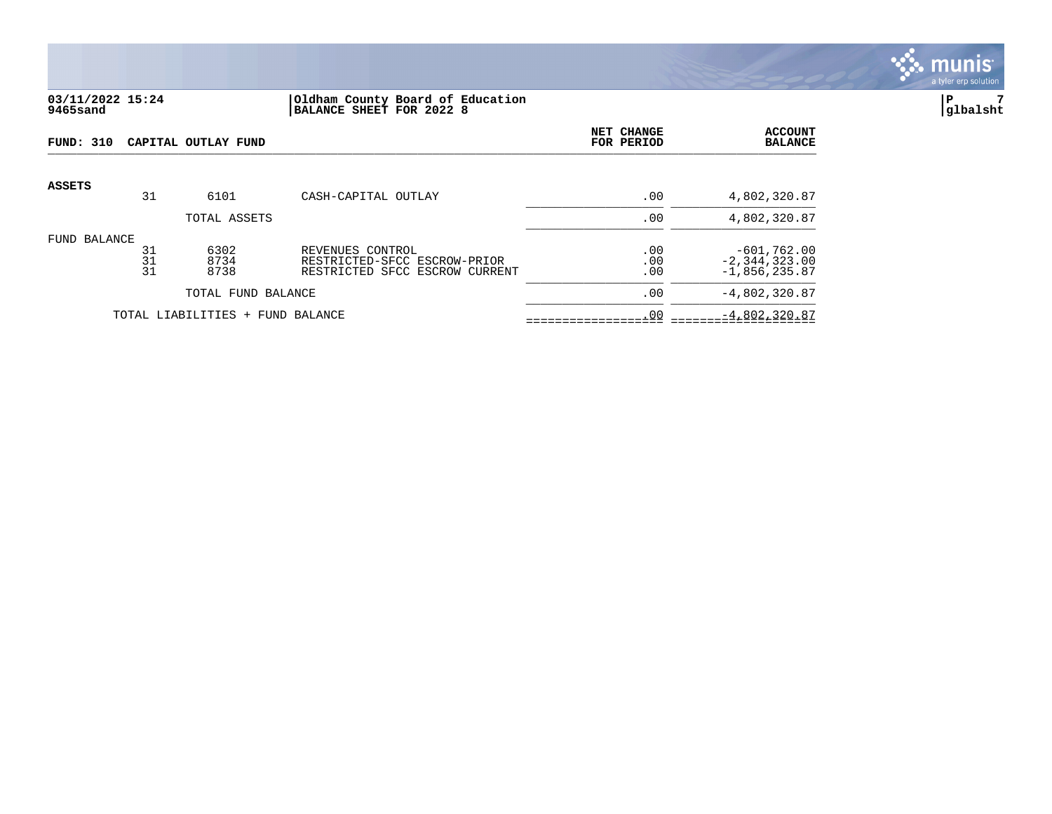

# **03/11/2022 15:24 |Oldham County Board of Education |P 7 9465sand |BALANCE SHEET FOR 2022 8 |glbalsht**

| <b>FUND: 310</b> |                | CAPITAL OUTLAY FUND              |                                                                                    | NET CHANGE<br>FOR PERIOD | <b>ACCOUNT</b><br><b>BALANCE</b>                      |
|------------------|----------------|----------------------------------|------------------------------------------------------------------------------------|--------------------------|-------------------------------------------------------|
| <b>ASSETS</b>    | 31             | 6101                             | CASH-CAPITAL OUTLAY                                                                | .00                      | 4,802,320.87                                          |
|                  |                | TOTAL ASSETS                     |                                                                                    | .00                      | 4,802,320.87                                          |
| FUND BALANCE     | 31<br>31<br>31 | 6302<br>8734<br>8738             | REVENUES CONTROL<br>RESTRICTED-SFCC ESCROW-PRIOR<br>RESTRICTED SFCC ESCROW CURRENT | .00<br>.00<br>.00        | $-601,762.00$<br>$-2, 344, 323.00$<br>$-1,856,235.87$ |
|                  |                | TOTAL FUND BALANCE               |                                                                                    | .00                      | $-4,802,320.87$                                       |
|                  |                | TOTAL LIABILITIES + FUND BALANCE |                                                                                    | .00                      | $-4,802,320.87$                                       |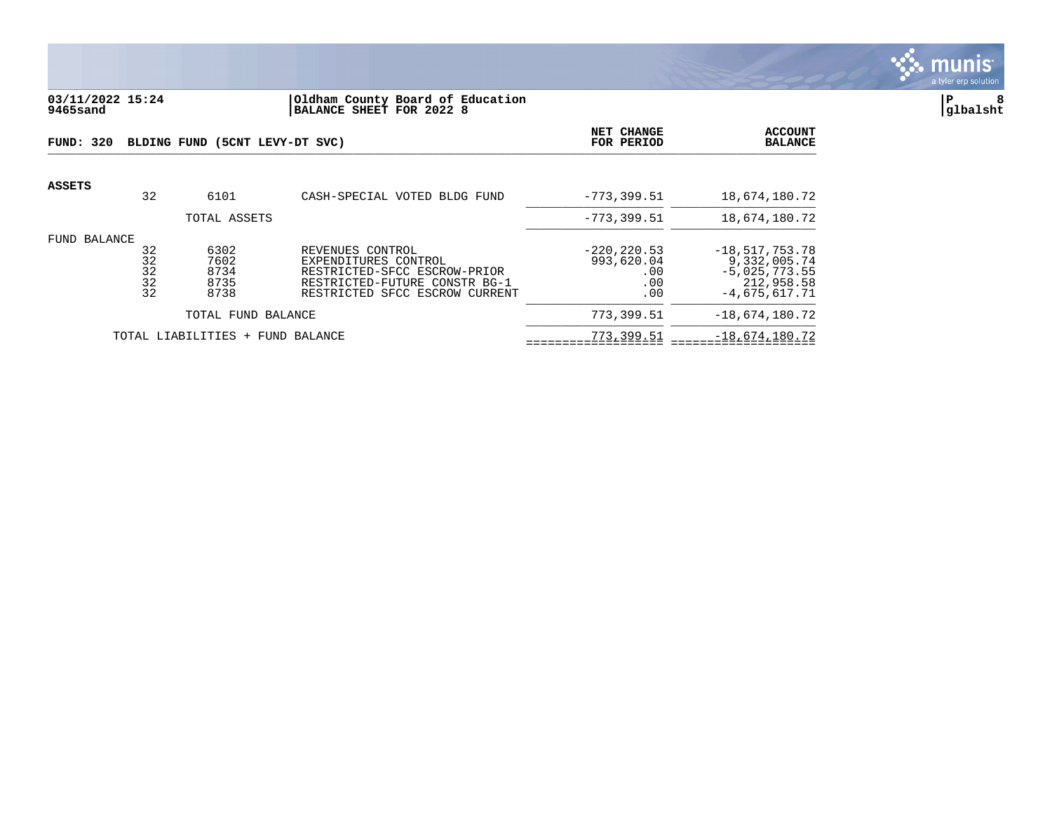

# **03/11/2022 15:24 |Oldham County Board of Education |P 8 9465sand |BALANCE SHEET FOR 2022 8 |glbalsht**

| FUND: 320    |                            | BLDING FUND (5CNT LEVY-DT SVC)       |                                                                                                                                             | <b>NET CHANGE</b><br>FOR PERIOD                   | <b>ACCOUNT</b><br><b>BALANCE</b>                                                     |
|--------------|----------------------------|--------------------------------------|---------------------------------------------------------------------------------------------------------------------------------------------|---------------------------------------------------|--------------------------------------------------------------------------------------|
| ASSETS       | 32                         | 6101                                 | CASH-SPECIAL VOTED BLDG FUND                                                                                                                | $-773.399.51$                                     | 18,674,180.72                                                                        |
|              |                            | TOTAL ASSETS                         |                                                                                                                                             | $-773.399.51$                                     | 18,674,180.72                                                                        |
| FUND BALANCE | 32<br>32<br>32<br>32<br>32 | 6302<br>7602<br>8734<br>8735<br>8738 | REVENUES CONTROL<br>EXPENDITURES CONTROL<br>RESTRICTED-SFCC ESCROW-PRIOR<br>RESTRICTED-FUTURE CONSTR BG-1<br>RESTRICTED SFCC ESCROW CURRENT | $-220, 220.53$<br>993,620.04<br>.00<br>.00<br>.00 | $-18,517,753.78$<br>9,332,005.74<br>$-5,025,773.55$<br>212,958.58<br>$-4,675,617.71$ |
|              |                            | TOTAL FUND BALANCE                   |                                                                                                                                             | 773,399.51                                        | $-18,674,180.72$                                                                     |
|              |                            | TOTAL LIABILITIES + FUND BALANCE     |                                                                                                                                             | 773,399.51                                        | $-18,674,180.72$                                                                     |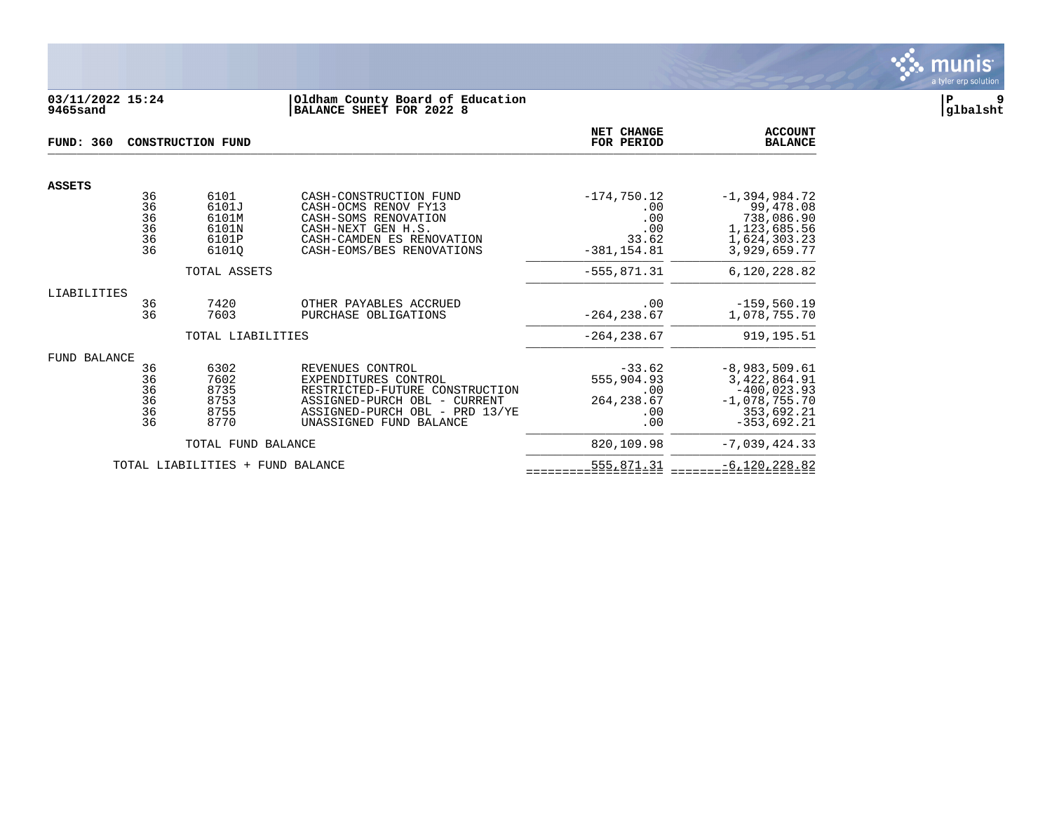

# **03/11/2022 15:24 |Oldham County Board of Education |P 9 9465sand |BALANCE SHEET FOR 2022 8 |glbalsht**

| <b>FUND: 360</b> |                                               | <b>CONSTRUCTION FUND</b>                          |                                                                                                                                                                         | NET CHANGE<br>FOR PERIOD                                      | <b>ACCOUNT</b><br><b>BALANCE</b>                                                                   |
|------------------|-----------------------------------------------|---------------------------------------------------|-------------------------------------------------------------------------------------------------------------------------------------------------------------------------|---------------------------------------------------------------|----------------------------------------------------------------------------------------------------|
| <b>ASSETS</b>    |                                               |                                                   |                                                                                                                                                                         |                                                               |                                                                                                    |
|                  | 36<br>$\overline{36}$<br>36<br>36<br>36<br>36 | 6101<br>6101J<br>6101M<br>6101N<br>6101P<br>61010 | CASH-CONSTRUCTION FUND<br>CASH-OCMS RENOV FY13<br>CASH-SOMS RENOVATION<br>CASH-NEXT GEN H.S.<br>CASH-CAMDEN ES RENOVATION<br>CASH-EOMS/BES RENOVATIONS                  | $-174,750.12$<br>.00<br>.00<br>.00<br>33.62<br>$-381, 154.81$ | $-1,394,984.72$<br>99,478.08<br>738,086.90<br>1,123,685.56<br>1,624,303.23<br>3,929,659.77         |
|                  |                                               | TOTAL ASSETS                                      |                                                                                                                                                                         | $-555, 871.31$                                                | 6,120,228.82                                                                                       |
| LIABILITIES      | 36<br>36                                      | 7420<br>7603                                      | OTHER PAYABLES ACCRUED<br>PURCHASE OBLIGATIONS                                                                                                                          | .00<br>$-264, 238.67$                                         | $-159,560.19$<br>1,078,755.70                                                                      |
|                  |                                               | TOTAL LIABILITIES                                 |                                                                                                                                                                         | $-264, 238.67$                                                | 919, 195.51                                                                                        |
| FUND BALANCE     | 36<br>36<br>36<br>36<br>36<br>36              | 6302<br>7602<br>8735<br>8753<br>8755<br>8770      | REVENUES CONTROL<br>EXPENDITURES CONTROL<br>RESTRICTED-FUTURE CONSTRUCTION<br>ASSIGNED-PURCH OBL - CURRENT<br>ASSIGNED-PURCH OBL - PRD 13/YE<br>UNASSIGNED FUND BALANCE | $-33.62$<br>555,904.93<br>.00<br>264, 238.67<br>.00<br>.00    | $-8,983,509.61$<br>3,422,864.91<br>$-400,023.93$<br>$-1,078,755.70$<br>353,692.21<br>$-353,692.21$ |
|                  |                                               | TOTAL FUND BALANCE                                |                                                                                                                                                                         | 820,109.98                                                    | $-7,039,424.33$                                                                                    |
|                  |                                               | TOTAL LIABILITIES + FUND BALANCE                  |                                                                                                                                                                         | 555,871.31                                                    | $-6, 120, 228.82$                                                                                  |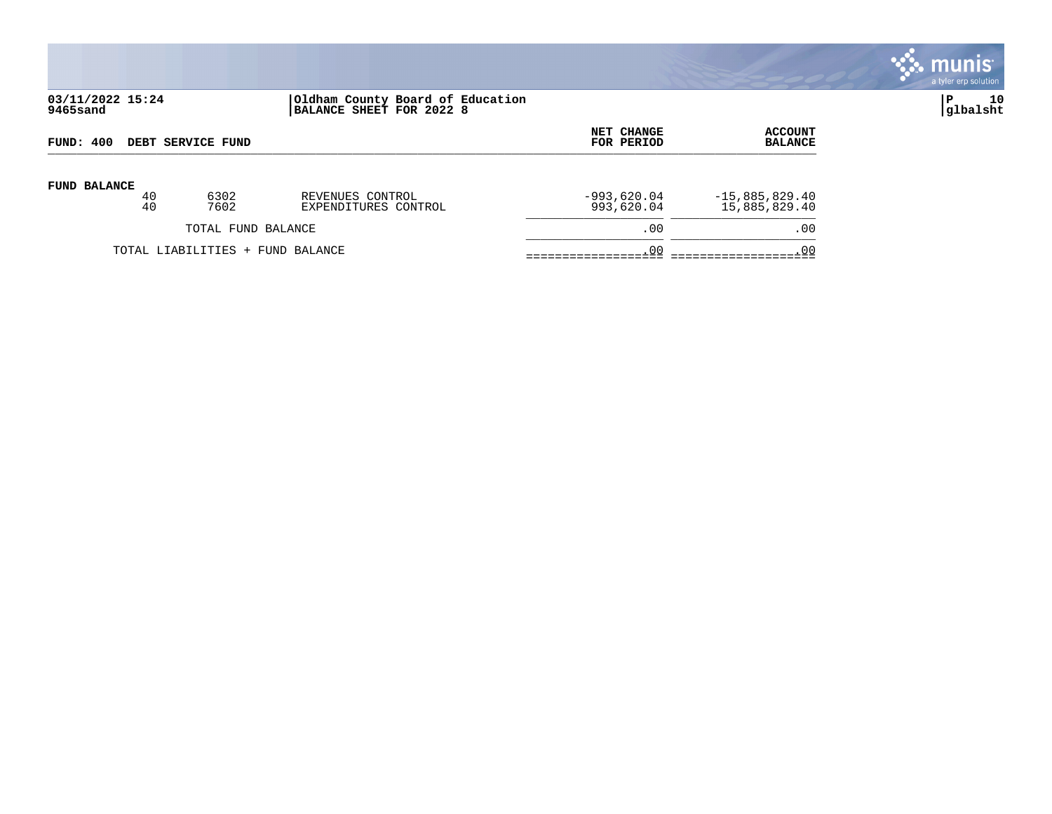

# **03/11/2022 15:24 |Oldham County Board of Education |P 10 9465sand |BALANCE SHEET FOR 2022 8 |glbalsht**

| FUND: 400                        |    |      | NET CHANGE           | <b>ACCOUNT</b> |                  |
|----------------------------------|----|------|----------------------|----------------|------------------|
| DEBT SERVICE FUND                |    |      | FOR PERIOD           | <b>BALANCE</b> |                  |
| <b>FUND BALANCE</b>              | 40 | 6302 | REVENUES CONTROL     | $-993,620.04$  | $-15,885,829.40$ |
|                                  | 40 | 7602 | EXPENDITURES CONTROL | 993,620.04     | 15,885,829.40    |
| TOTAL FUND BALANCE               |    |      | .00                  | .00            |                  |
| TOTAL LIABILITIES + FUND BALANCE |    |      | .00                  | . 00           |                  |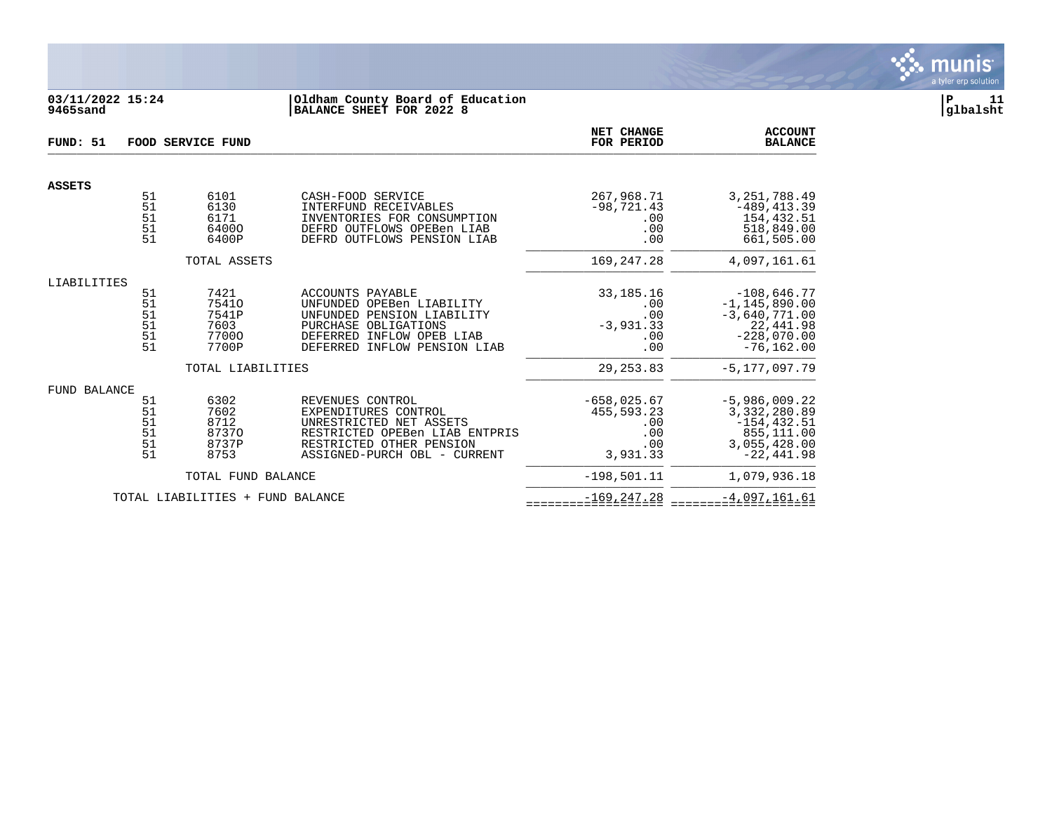

# **03/11/2022 15:24 |Oldham County Board of Education |P 11 9465sand |BALANCE SHEET FOR 2022 8 |glbalsht**

| FUND: 51      |                                  | FOOD SERVICE FUND                                | NET CHANGE<br>FOR PERIOD                                                                                                                                          | <b>ACCOUNT</b><br><b>BALANCE</b>                             |                                                                                                      |
|---------------|----------------------------------|--------------------------------------------------|-------------------------------------------------------------------------------------------------------------------------------------------------------------------|--------------------------------------------------------------|------------------------------------------------------------------------------------------------------|
| <b>ASSETS</b> |                                  |                                                  |                                                                                                                                                                   |                                                              |                                                                                                      |
|               | 51<br>51<br>51<br>51<br>51       | 6101<br>6130<br>6171<br>64000<br>6400P           | CASH-FOOD SERVICE<br>INTERFUND RECEIVABLES<br>INVENTORIES FOR CONSUMPTION<br>DEFRD OUTFLOWS OPEBen LIAB<br>DEFRD OUTFLOWS PENSION LIAB                            | 267,968.71<br>$-98,721.43$<br>.00<br>.00<br>.00              | 3, 251, 788.49<br>$-489, 413.39$<br>154,432.51<br>518,849.00<br>661,505.00                           |
|               |                                  | TOTAL ASSETS                                     |                                                                                                                                                                   | 169, 247, 28                                                 | 4,097,161.61                                                                                         |
| LIABILITIES   |                                  |                                                  |                                                                                                                                                                   |                                                              |                                                                                                      |
|               | 51<br>51<br>51<br>51<br>51<br>51 | 7421<br>75410<br>7541P<br>7603<br>77000<br>7700P | ACCOUNTS PAYABLE<br>UNFUNDED OPEBen LIABILITY<br>UNFUNDED PENSION LIABILITY<br>PURCHASE OBLIGATIONS<br>DEFERRED INFLOW OPEB LIAB<br>DEFERRED INFLOW PENSION LIAB  | 33, 185. 16<br>.00<br>.00<br>$-3,931.33$<br>.00<br>.00       | $-108,646.77$<br>$-1, 145, 890.00$<br>$-3,640,771.00$<br>22,441.98<br>$-228,070.00$<br>$-76, 162.00$ |
|               |                                  | TOTAL LIABILITIES                                |                                                                                                                                                                   | 29, 253.83                                                   | $-5, 177, 097.79$                                                                                    |
| FUND BALANCE  | 51<br>51<br>51<br>51<br>51<br>51 | 6302<br>7602<br>8712<br>87370<br>8737P<br>8753   | REVENUES CONTROL<br>EXPENDITURES CONTROL<br>UNRESTRICTED NET ASSETS<br>RESTRICTED OPEBen LIAB ENTPRIS<br>RESTRICTED OTHER PENSION<br>ASSIGNED-PURCH OBL - CURRENT | $-658,025.67$<br>455,593.23<br>.00<br>.00<br>.00<br>3,931.33 | $-5,986,009.22$<br>3, 332, 280.89<br>$-154, 432.51$<br>855,111.00<br>3,055,428.00<br>$-22,441.98$    |
|               |                                  | TOTAL FUND BALANCE                               |                                                                                                                                                                   | $-198, 501.11$                                               | 1,079,936.18                                                                                         |
|               |                                  | TOTAL LIABILITIES + FUND BALANCE                 |                                                                                                                                                                   | $-169, 247.28$                                               | $-4,097,161.61$                                                                                      |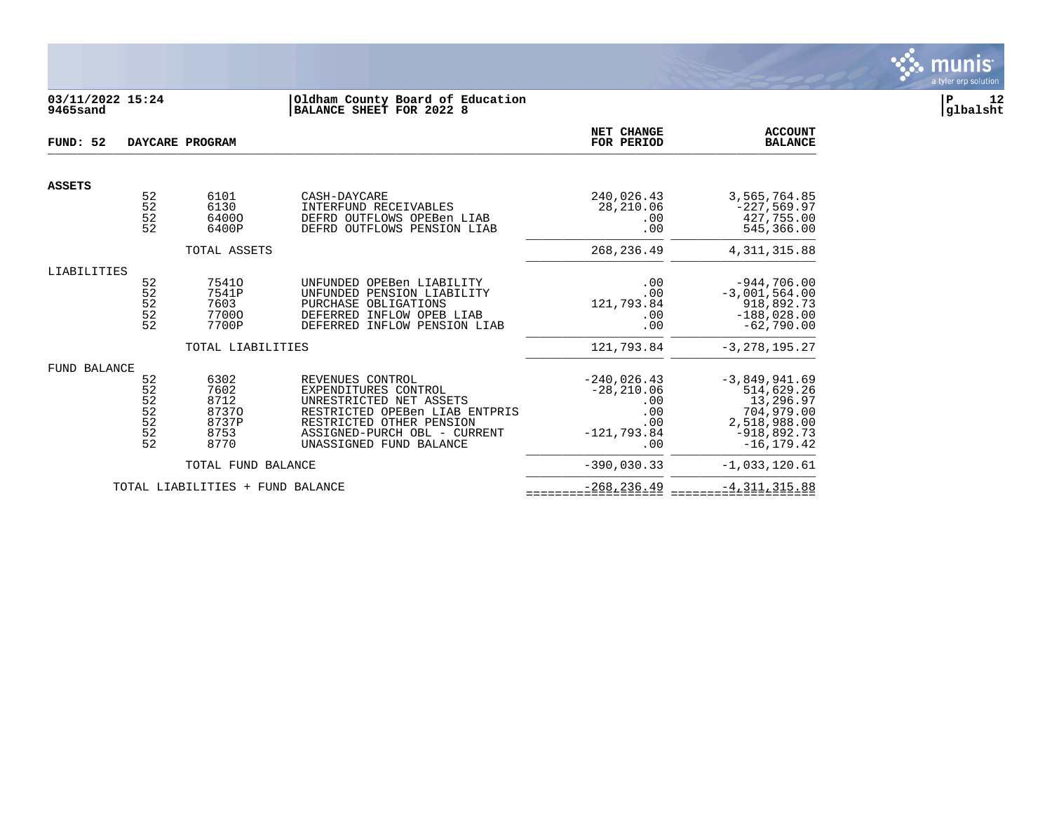

# **03/11/2022 15:24 |Oldham County Board of Education |P 12 9465sand |BALANCE SHEET FOR 2022 8 |glbalsht**

| FUND: 52      |                                                  | DAYCARE PROGRAM                                        |                                                                                                                                                                                              | NET CHANGE<br>FOR PERIOD                                                    | <b>ACCOUNT</b><br><b>BALANCE</b>                                                                           |
|---------------|--------------------------------------------------|--------------------------------------------------------|----------------------------------------------------------------------------------------------------------------------------------------------------------------------------------------------|-----------------------------------------------------------------------------|------------------------------------------------------------------------------------------------------------|
| <b>ASSETS</b> |                                                  |                                                        |                                                                                                                                                                                              |                                                                             |                                                                                                            |
|               | 52<br>52<br>52<br>52                             | 6101<br>6130<br>64000<br>6400P                         | CASH-DAYCARE<br>INTERFUND RECEIVABLES<br>DEFRD OUTFLOWS OPEBen LIAB<br>DEFRD OUTFLOWS PENSION LIAB                                                                                           | 240,026.43<br>28,210.06<br>.00<br>.00                                       | 3,565,764.85<br>$-227,569.97$<br>427,755.00<br>545,366.00                                                  |
|               |                                                  | TOTAL ASSETS                                           |                                                                                                                                                                                              | 268, 236.49                                                                 | 4, 311, 315.88                                                                                             |
| LIABILITIES   | 52<br>52<br>52<br>52<br>52                       | 75410<br>7541P<br>7603<br>77000<br>7700P               | UNFUNDED OPEBen LIABILITY<br>UNFUNDED PENSION LIABILITY<br>PURCHASE OBLIGATIONS<br>DEFERRED INFLOW OPEB LIAB<br>DEFERRED INFLOW PENSION LIAB                                                 | .00<br>.00<br>121,793.84<br>.00<br>.00                                      | $-944,706.00$<br>$-3,001,564.00$<br>918,892.73<br>$-188,028.00$<br>$-62,790.00$                            |
|               |                                                  | TOTAL LIABILITIES                                      |                                                                                                                                                                                              | 121,793.84                                                                  | $-3, 278, 195.27$                                                                                          |
| FUND BALANCE  | 52<br>$\frac{5}{2}$<br>$\frac{5}{2}$<br>52<br>52 | 6302<br>7602<br>8712<br>87370<br>8737P<br>8753<br>8770 | REVENUES CONTROL<br>EXPENDITURES CONTROL<br>UNRESTRICTED NET ASSETS<br>RESTRICTED OPEBen LIAB ENTPRIS<br>RESTRICTED OTHER PENSION<br>ASSIGNED-PURCH OBL - CURRENT<br>UNASSIGNED FUND BALANCE | $-240,026.43$<br>$-28, 210.06$<br>.00<br>.00<br>.00<br>$-121.793.84$<br>.00 | $-3,849,941.69$<br>514,629.26<br>13,296.97<br>704,979.00<br>2,518,988.00<br>$-918,892.73$<br>$-16, 179.42$ |
|               |                                                  | TOTAL FUND BALANCE                                     |                                                                                                                                                                                              | $-390,030.33$                                                               | $-1,033,120.61$                                                                                            |
|               |                                                  | TOTAL LIABILITIES + FUND BALANCE                       |                                                                                                                                                                                              | $-268, 236.49$                                                              | $-4, 311, 315.88$                                                                                          |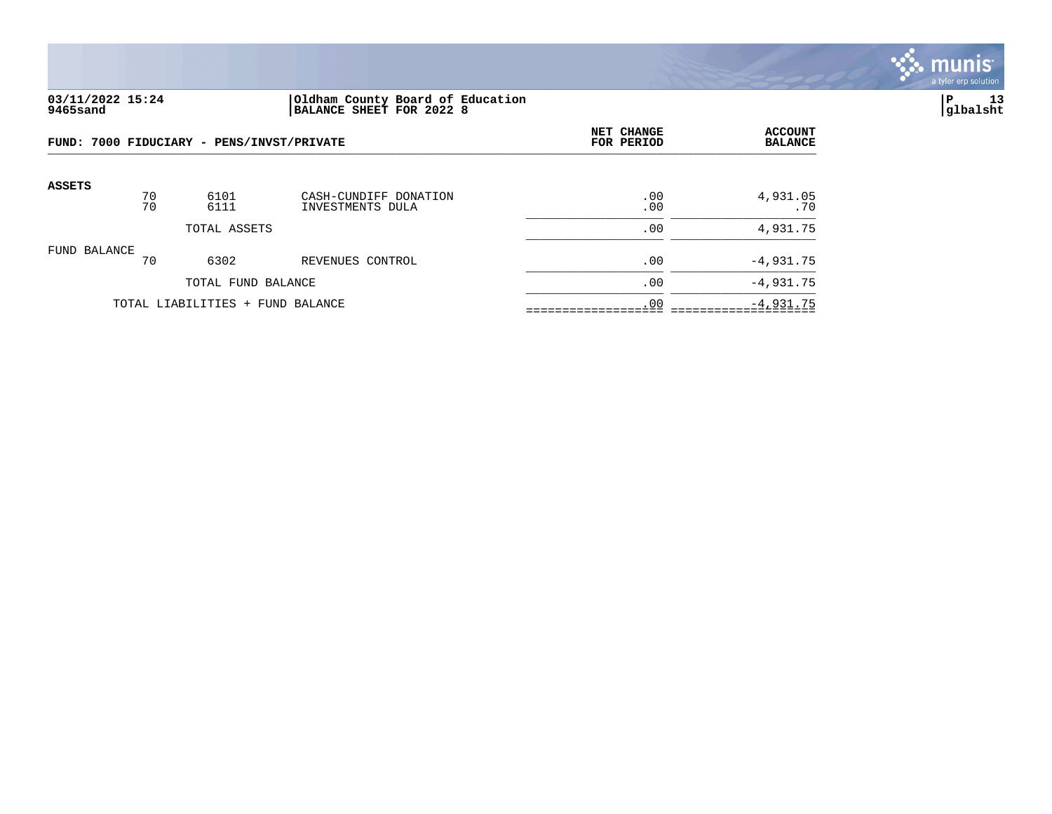

### **03/11/2022 15:24 |Oldham County Board of Education |P 13 9465sand |BALANCE SHEET FOR 2022 8 |glbalsht**

|                                  |          | FUND: 7000 FIDUCIARY - PENS/INVST/PRIVATE | NET CHANGE<br>FOR PERIOD                  | <b>ACCOUNT</b><br><b>BALANCE</b> |                 |
|----------------------------------|----------|-------------------------------------------|-------------------------------------------|----------------------------------|-----------------|
| <b>ASSETS</b>                    | 70<br>70 | 6101<br>6111                              | CASH-CUNDIFF DONATION<br>INVESTMENTS DULA | .00<br>.00                       | 4,931.05<br>.70 |
| TOTAL ASSETS                     |          |                                           |                                           | .00                              | 4,931.75        |
| FUND BALANCE                     | 70       | 6302                                      | REVENUES CONTROL                          | .00                              | $-4,931.75$     |
|                                  |          | TOTAL FUND BALANCE                        |                                           | .00                              | $-4,931.75$     |
| TOTAL LIABILITIES + FUND BALANCE |          |                                           |                                           | .00                              | $-4,931.75$     |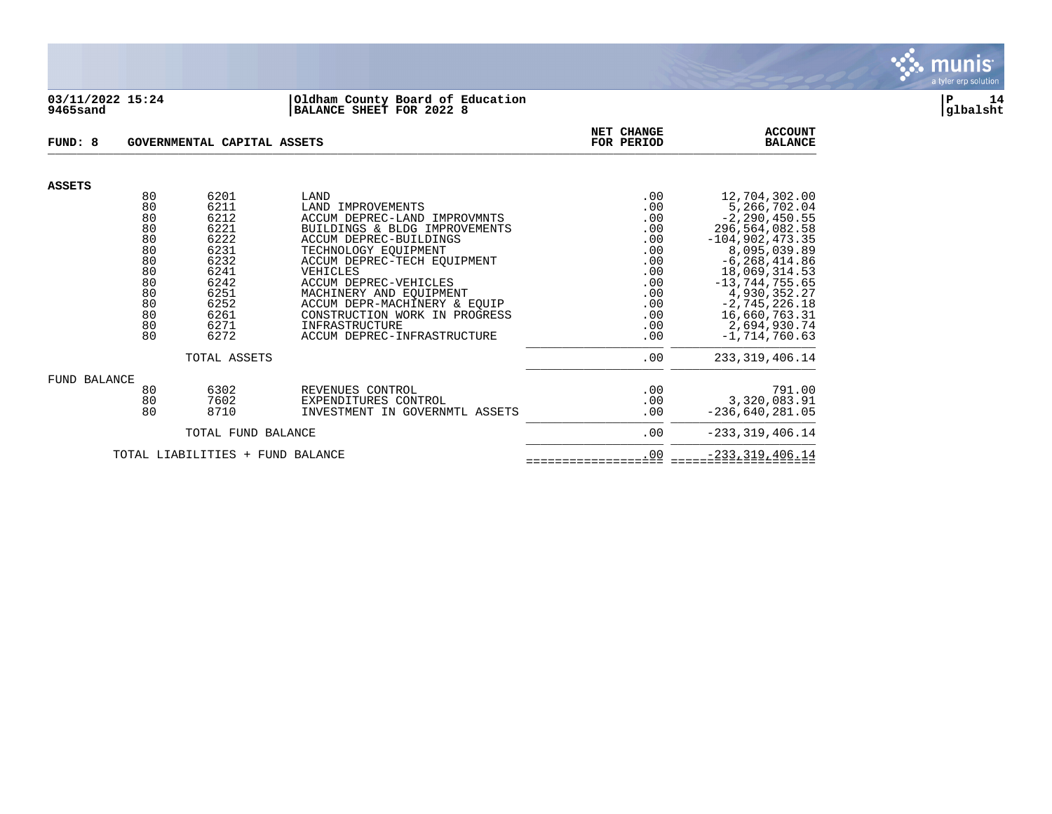

#### **03/11/2022 15:24 |Oldham County Board of Education |P 14 9465sand |BALANCE SHEET FOR 2022 8 |glbalsht**

| FUND: 8                          |    |      |                                | NET CHANGE | <b>ACCOUNT</b>      |
|----------------------------------|----|------|--------------------------------|------------|---------------------|
| GOVERNMENTAL CAPITAL ASSETS      |    |      |                                | FOR PERIOD | <b>BALANCE</b>      |
| <b>ASSETS</b>                    |    |      |                                |            |                     |
|                                  | 80 | 6201 | LAND                           | .00        | 12,704,302.00       |
|                                  | 80 | 6211 | LAND IMPROVEMENTS              | .00        | 5,266,702.04        |
|                                  | 80 | 6212 | ACCUM DEPREC-LAND IMPROVMNTS   | .00        | $-2, 290, 450.55$   |
|                                  | 80 | 6221 | BUILDINGS & BLDG IMPROVEMENTS  | .00        | 296,564,082.58      |
|                                  | 80 | 6222 | ACCUM DEPREC-BUILDINGS         | .00        | $-104,902,473.35$   |
|                                  | 80 | 6231 | TECHNOLOGY EQUIPMENT           | .00        | 8,095,039.89        |
|                                  | 80 | 6232 | ACCUM DEPREC-TECH EQUIPMENT    | .00        | $-6, 268, 414.86$   |
|                                  | 80 | 6241 | VEHICLES                       | .00        | 18,069,314.53       |
|                                  | 80 | 6242 | <b>ACCUM DEPREC-VEHICLES</b>   | .00        | $-13, 744, 755.65$  |
|                                  | 80 | 6251 | MACHINERY AND EQUIPMENT        | .00        | 4,930,352.27        |
|                                  | 80 | 6252 | ACCUM DEPR-MACHINERY & EOUIP   | .00        | $-2, 745, 226.18$   |
|                                  | 80 | 6261 | CONSTRUCTION WORK IN PROGRESS  | .00        | 16,660,763.31       |
|                                  | 80 | 6271 | INFRASTRUCTURE                 | .00        | 2,694,930.74        |
|                                  | 80 | 6272 | ACCUM DEPREC-INFRASTRUCTURE    | .00        | $-1,714,760.63$     |
| TOTAL ASSETS                     |    |      |                                | .00        | 233, 319, 406. 14   |
| <b>FUND BALANCE</b>              | 80 | 6302 | REVENUES CONTROL               | .00        | 791.00              |
|                                  | 80 | 7602 | EXPENDITURES CONTROL           | .00        | 3,320,083.91        |
|                                  | 80 | 8710 | INVESTMENT IN GOVERNMTL ASSETS | .00        | $-236,640,281.05$   |
| TOTAL FUND BALANCE               |    |      |                                | .00        | $-233, 319, 406.14$ |
| TOTAL LIABILITIES + FUND BALANCE |    |      |                                | .00        | $-233, 319, 406.14$ |